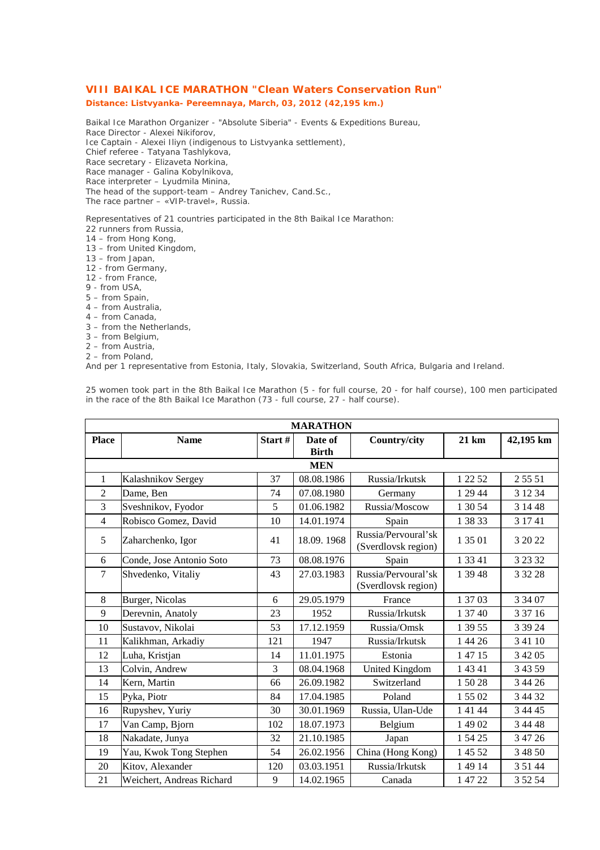## **VIII BAIKAL ICE MARATHON "Clean Waters Conservation Run"**

## **Distance: Listvyanka- Pereemnaya, March, 03, 2012 (42,195 km.)**

Baikal Ice Marathon Organizer - "Absolute Siberia" - Events & Expeditions Bureau, Race Director - Alexei Nikiforov, Ice Captain - Alexei Iliyn (indigenous to Listvyanka settlement), Chief referee - Tatyana Tashlykova, Race secretary - Elizaveta Norkina, Race manager - Galina Kobylnikova, Race interpreter – Lyudmila Minina, The head of the support-team – Andrey Tanichev, Cand.Sc.,

The race partner – «VIP-travel», Russia.

Representatives of 21 countries participated in the 8th Baikal Ice Marathon:

- 22 runners from Russia,
- 14 from Hong Kong,
- 13 from United Kingdom,
- 13 from Japan,
- 12 from Germany,
- 12 from France,
- 9 from USA,
- 5 from Spain,
- 4 from Australia,
- 4 from Canada,
- 3 from the Netherlands,
- 3 from Belgium,
- 2 from Austria,
- 2 from Poland,

And per 1 representative from Estonia, Italy, Slovakia, Switzerland, South Africa, Bulgaria and Ireland.

| <b>MARATHON</b> |                           |        |                         |                                            |         |           |  |  |
|-----------------|---------------------------|--------|-------------------------|--------------------------------------------|---------|-----------|--|--|
| <b>Place</b>    | <b>Name</b>               | Start# | Date of<br><b>Birth</b> | Country/city                               | 21 km   | 42,195 km |  |  |
| <b>MEN</b>      |                           |        |                         |                                            |         |           |  |  |
| 1               | Kalashnikov Sergey        | 37     | 08.08.1986              | Russia/Irkutsk                             | 1 22 52 | 2 5 5 5 1 |  |  |
| $\overline{c}$  | Dame, Ben                 | 74     | 07.08.1980              | Germany                                    | 1 29 44 | 3 12 34   |  |  |
| 3               | Sveshnikov, Fyodor        | 5      | 01.06.1982              | Russia/Moscow                              | 1 30 54 | 3 14 48   |  |  |
| $\overline{4}$  | Robisco Gomez, David      | 10     | 14.01.1974              | Spain                                      | 1 38 33 | 3 17 41   |  |  |
| 5               | Zaharchenko, Igor         | 41     | 18.09.1968              | Russia/Pervoural'sk<br>(Sverdlovsk region) | 1 35 01 | 3 20 22   |  |  |
| 6               | Conde, Jose Antonio Soto  | 73     | 08.08.1976              | Spain                                      | 1 33 41 | 3 2 3 3 2 |  |  |
| $\overline{7}$  | Shvedenko, Vitaliy        | 43     | 27.03.1983              | Russia/Pervoural'sk<br>(Sverdlovsk region) | 1 39 48 | 3 3 2 2 8 |  |  |
| 8               | Burger, Nicolas           | 6      | 29.05.1979              | France                                     | 1 37 03 | 3 34 07   |  |  |
| 9               | Derevnin, Anatoly         | 23     | 1952                    | Russia/Irkutsk                             | 1 37 40 | 3 37 16   |  |  |
| 10              | Sustavov, Nikolai         | 53     | 17.12.1959              | Russia/Omsk                                | 1 39 55 | 3 39 24   |  |  |
| 11              | Kalikhman, Arkadiy        | 121    | 1947                    | Russia/Irkutsk                             | 1 44 26 | 3 41 10   |  |  |
| 12              | Luha, Kristjan            | 14     | 11.01.1975              | Estonia                                    | 1 47 15 | 3 4 2 0 5 |  |  |
| 13              | Colvin, Andrew            | 3      | 08.04.1968              | <b>United Kingdom</b>                      | 1 43 41 | 3 4 3 5 9 |  |  |
| 14              | Kern, Martin              | 66     | 26.09.1982              | Switzerland                                | 15028   | 3 44 26   |  |  |
| 15              | Pyka, Piotr               | 84     | 17.04.1985              | Poland                                     | 1 55 02 | 3 44 32   |  |  |
| 16              | Rupyshev, Yuriy           | 30     | 30.01.1969              | Russia, Ulan-Ude                           | 1 41 44 | 3 44 45   |  |  |
| 17              | Van Camp, Bjorn           | 102    | 18.07.1973              | Belgium                                    | 1 49 02 | 3 44 48   |  |  |
| 18              | Nakadate, Junya           | 32     | 21.10.1985              | Japan                                      | 1 54 25 | 3 47 26   |  |  |
| 19              | Yau, Kwok Tong Stephen    | 54     | 26.02.1956              | China (Hong Kong)                          | 1 45 52 | 3 48 50   |  |  |
| 20              | Kitov, Alexander          | 120    | 03.03.1951              | Russia/Irkutsk                             | 1 49 14 | 3 51 44   |  |  |
| 21              | Weichert, Andreas Richard | 9      | 14.02.1965              | Canada                                     | 1 47 22 | 3 52 54   |  |  |

25 women took part in the 8th Baikal Ice Marathon (5 - for full course, 20 - for half course), 100 men participated in the race of the 8th Baikal Ice Marathon (73 - full course, 27 - half course).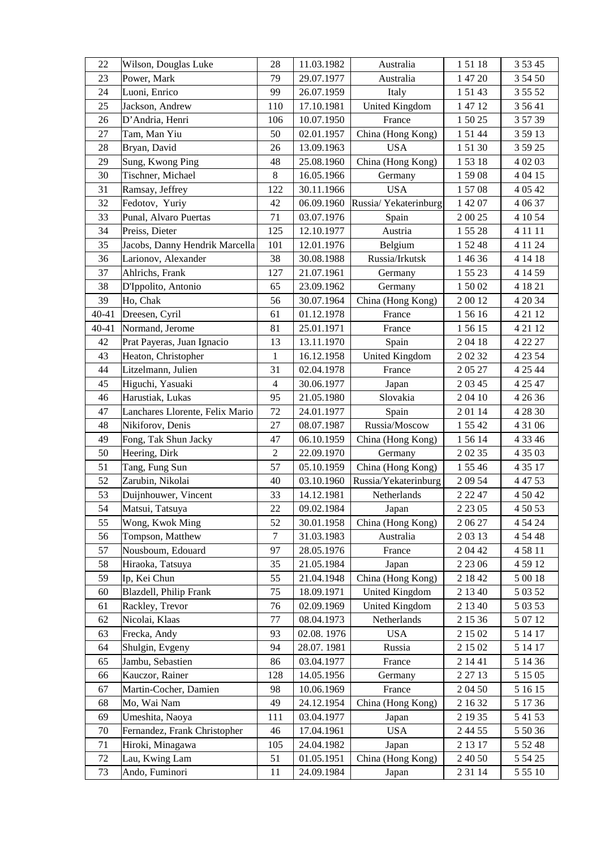| 22    | Wilson, Douglas Luke            | 28             | 11.03.1982 | Australia             | 15118     | 3 5 3 4 5 |
|-------|---------------------------------|----------------|------------|-----------------------|-----------|-----------|
| 23    | Power, Mark                     | 79             | 29.07.1977 | Australia             | 1 47 20   | 3 54 50   |
| 24    | Luoni, Enrico                   | 99             | 26.07.1959 | Italy                 | 15143     | 3 5 5 5 2 |
| 25    | Jackson, Andrew                 | 110            | 17.10.1981 | <b>United Kingdom</b> | 1 47 12   | 3 5 6 4 1 |
| 26    | D'Andria, Henri                 | 106            | 10.07.1950 | France                | 1 50 25   | 3 57 39   |
| 27    | Tam, Man Yiu                    | 50             | 02.01.1957 | China (Hong Kong)     | 15144     | 3 59 13   |
| 28    | Bryan, David                    | 26             | 13.09.1963 | <b>USA</b>            | 15130     | 3 59 25   |
| 29    | Sung, Kwong Ping                | 48             | 25.08.1960 | China (Hong Kong)     | 15318     | 4 02 03   |
| 30    | Tischner, Michael               | $8\,$          | 16.05.1966 | Germany               | 15908     | 4 04 15   |
| 31    | Ramsay, Jeffrey                 | 122            | 30.11.1966 | <b>USA</b>            | 15708     | 4 0 5 4 2 |
| 32    | Fedotov, Yuriy                  | 42             | 06.09.1960 | Russia/ Yekaterinburg | 1 42 07   | 4 0 6 37  |
| 33    | Punal, Alvaro Puertas           | 71             | 03.07.1976 | Spain                 | 2 00 25   | 4 10 54   |
| 34    | Preiss, Dieter                  | 125            | 12.10.1977 | Austria               | 15528     | 4 11 11   |
| 35    | Jacobs, Danny Hendrik Marcella  | 101            | 12.01.1976 | Belgium               | 1 52 48   | 4 11 24   |
| 36    | Larionov, Alexander             | 38             | 30.08.1988 | Russia/Irkutsk        | 1 46 36   | 4 14 18   |
| 37    | Ahlrichs, Frank                 | 127            | 21.07.1961 | Germany               | 1 55 23   | 4 14 59   |
| 38    | D'Ippolito, Antonio             | 65             | 23.09.1962 | Germany               | 15002     | 4 18 21   |
| 39    | Ho, Chak                        | 56             | 30.07.1964 | China (Hong Kong)     | 20012     | 4 20 34   |
| 40-41 | Dreesen, Cyril                  | 61             | 01.12.1978 | France                | 15616     | 4 21 12   |
| 40-41 | Normand, Jerome                 | 81             | 25.01.1971 | France                | 15615     | 4 21 12   |
| 42    | Prat Payeras, Juan Ignacio      | 13             | 13.11.1970 | Spain                 | 20418     | 4 22 27   |
| 43    | Heaton, Christopher             | $\mathbf{1}$   | 16.12.1958 | <b>United Kingdom</b> | 20232     | 4 2 3 5 4 |
| 44    | Litzelmann, Julien              | 31             | 02.04.1978 | France                | 20527     | 4 25 44   |
| 45    | Higuchi, Yasuaki                | 4              | 30.06.1977 | Japan                 | 2 03 45   | 4 25 47   |
| 46    | Harustiak, Lukas                | 95             | 21.05.1980 | Slovakia              | 2 04 10   | 4 26 36   |
| 47    | Lanchares Llorente, Felix Mario | 72             | 24.01.1977 | Spain                 | 20114     | 4 28 30   |
| 48    | Nikiforov, Denis                | 27             | 08.07.1987 | Russia/Moscow         | 1 55 42   | 4 31 06   |
| 49    | Fong, Tak Shun Jacky            | 47             | 06.10.1959 | China (Hong Kong)     | 1 56 14   | 4 3 3 4 6 |
| 50    | Heering, Dirk                   | $\overline{2}$ | 22.09.1970 | Germany               | 2 02 35   | 4 35 03   |
| 51    | Tang, Fung Sun                  | 57             | 05.10.1959 | China (Hong Kong)     | 1 55 46   | 4 3 5 17  |
| 52    | Zarubin, Nikolai                | 40             | 03.10.1960 | Russia/Yekaterinburg  | 2 09 54   | 4 47 53   |
| 53    | Duijnhouwer, Vincent            | 33             | 14.12.1981 | Netherlands           | 2 2 2 4 7 | 4 50 42   |
| 54    | Matsui, Tatsuya                 | 22             | 09.02.1984 | Japan                 | 2 2 3 0 5 | 4 50 53   |
| 55    | Wong, Kwok Ming                 | 52             | 30.01.1958 | China (Hong Kong)     | 2 06 27   | 4 54 24   |
| 56    | Tompson, Matthew                | 7              | 31.03.1983 | Australia             | 20313     | 4 54 48   |
| 57    | Nousboum, Edouard               | 97             | 28.05.1976 | France                | 2 04 42   | 45811     |
| 58    | Hiraoka, Tatsuya                | 35             | 21.05.1984 | Japan                 | 2 2 3 0 6 | 4 59 12   |
| 59    | Ip, Kei Chun                    | 55             | 21.04.1948 | China (Hong Kong)     | 2 18 42   | 5 00 18   |
| 60    | Blazdell, Philip Frank          | 75             | 18.09.1971 | United Kingdom        | 2 13 40   | 5 03 52   |
| 61    | Rackley, Trevor                 | 76             | 02.09.1969 | <b>United Kingdom</b> | 2 13 40   | 5 03 53   |
| 62    | Nicolai, Klaas                  | 77             | 08.04.1973 | Netherlands           | 2 15 36   | 5 07 12   |
| 63    | Frecka, Andy                    | 93             | 02.08.1976 | <b>USA</b>            | 2 15 02   | 5 14 17   |
| 64    | Shulgin, Evgeny                 | 94             | 28.07.1981 | Russia                | 2 15 02   | 5 14 17   |
| 65    | Jambu, Sebastien                | 86             | 03.04.1977 | France                | 2 14 41   | 5 14 36   |
| 66    | Kauczor, Rainer                 | 128            | 14.05.1956 | Germany               | 2 27 13   | 5 15 05   |
| 67    | Martin-Cocher, Damien           | 98             | 10.06.1969 | France                | 2 04 50   | 5 16 15   |
| 68    | Mo, Wai Nam                     | 49             | 24.12.1954 | China (Hong Kong)     | 2 16 32   | 5 17 36   |
| 69    | Umeshita, Naoya                 | 111            | 03.04.1977 | Japan                 | 2 19 35   | 5 41 53   |
| 70    | Fernandez, Frank Christopher    | 46             | 17.04.1961 | <b>USA</b>            | 2 4 4 5 5 | 5 50 36   |
| 71    | Hiroki, Minagawa                | 105            | 24.04.1982 | Japan                 | 2 13 17   | 5 5 2 4 8 |
| 72    | Lau, Kwing Lam                  | 51             | 01.05.1951 | China (Hong Kong)     | 2 40 50   | 5 54 25   |
| 73    | Ando, Fuminori                  | 11             | 24.09.1984 | Japan                 | 2 3 1 1 4 | 5 5 5 10  |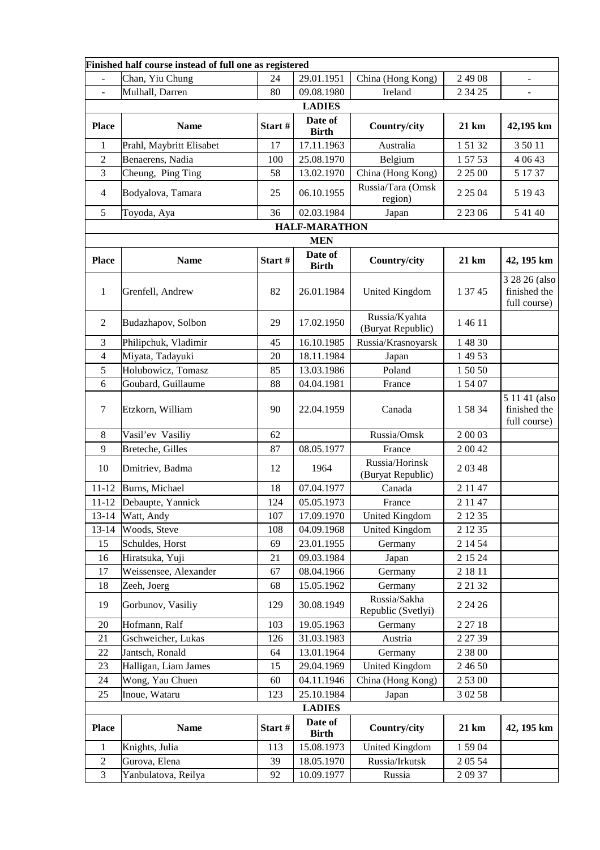| Finished half course instead of full one as registered |                          |         |                         |                                     |                  |                                               |  |  |
|--------------------------------------------------------|--------------------------|---------|-------------------------|-------------------------------------|------------------|-----------------------------------------------|--|--|
|                                                        | Chan, Yiu Chung          | 24      | 29.01.1951              | China (Hong Kong)                   | 2 49 08          | $\blacksquare$                                |  |  |
|                                                        | Mulhall, Darren          | 80      | 09.08.1980              | Ireland                             | 2 34 25          |                                               |  |  |
| <b>LADIES</b>                                          |                          |         |                         |                                     |                  |                                               |  |  |
| <b>Place</b>                                           | <b>Name</b>              | Start#  | Date of<br><b>Birth</b> | Country/city                        | $21 \mathrm{km}$ | 42,195 km                                     |  |  |
| $\mathbf{1}$                                           | Prahl, Maybritt Elisabet | 17      | 17.11.1963              | Australia                           | 15132            | 3 50 11                                       |  |  |
| 2                                                      | Benaerens, Nadia         | 100     | 25.08.1970              | Belgium                             | 1 57 53          | 4 0 6 4 3                                     |  |  |
| 3                                                      | Cheung, Ping Ting        | 58      | 13.02.1970              | China (Hong Kong)                   | 2 2 5 0 0        | 5 17 37                                       |  |  |
| 4                                                      | Bodyalova, Tamara        | 25      | 06.10.1955              | Russia/Tara (Omsk<br>region)        | 2 2 5 0 4        | 5 19 43                                       |  |  |
| 5                                                      | Toyoda, Aya              | 36      | 02.03.1984              | Japan                               | 2 2 3 0 6        | 5 41 40                                       |  |  |
| <b>HALF-MARATHON</b>                                   |                          |         |                         |                                     |                  |                                               |  |  |
| <b>MEN</b>                                             |                          |         |                         |                                     |                  |                                               |  |  |
| <b>Place</b>                                           | <b>Name</b>              | Start#  | Date of<br><b>Birth</b> | Country/city                        | 21 km            | 42, 195 km                                    |  |  |
| 1                                                      | Grenfell, Andrew         | 82      | 26.01.1984              | United Kingdom                      | 1 37 45          | 3 28 26 (also<br>finished the<br>full course) |  |  |
| 2                                                      | Budazhapov, Solbon       | 29      | 17.02.1950              | Russia/Kyahta<br>(Buryat Republic)  | 1 4 6 1 1        |                                               |  |  |
| 3                                                      | Philipchuk, Vladimir     | 45      | 16.10.1985              | Russia/Krasnoyarsk                  | 1 48 30          |                                               |  |  |
| 4                                                      | Miyata, Tadayuki         | 20      | 18.11.1984              | Japan                               | 1 49 53          |                                               |  |  |
| 5                                                      | Holubowicz, Tomasz       | 85      | 13.03.1986              | Poland                              | 1 50 50          |                                               |  |  |
| 6                                                      | Goubard, Guillaume       | 88      | 04.04.1981              | France                              | 1 54 07          |                                               |  |  |
| $\tau$                                                 | Etzkorn, William         | 90      | 22.04.1959              | Canada                              | 15834            | 5 11 41 (also<br>finished the<br>full course) |  |  |
| 8                                                      | Vasil'ev Vasiliy         | 62      |                         | Russia/Omsk                         | 2 00 03          |                                               |  |  |
| 9                                                      | Breteche, Gilles         | 87      | 08.05.1977              | France                              | 2 00 42          |                                               |  |  |
| 10                                                     | Dmitriev, Badma          | 12      | 1964                    | Russia/Horinsk<br>(Buryat Republic) | 20348            |                                               |  |  |
| $11 - 12$                                              | Burns, Michael           | 18      | 07.04.1977              | Canada                              | 2 1 1 4 7        |                                               |  |  |
| $11 - 12$                                              | Debaupte, Yannick        | 124     | 05.05.1973              | France                              | 2 1 1 4 7        |                                               |  |  |
| $13 - 14$                                              | Watt, Andy               | 107     | 17.09.1970              | United Kingdom                      | 2 1 2 3 5        |                                               |  |  |
| $13 - 14$                                              | Woods, Steve             | 108     | 04.09.1968              | <b>United Kingdom</b>               | 2 1 2 3 5        |                                               |  |  |
| 15                                                     | Schuldes, Horst          | 69      | 23.01.1955              | Germany                             | 2 14 54          |                                               |  |  |
| 16                                                     | Hiratsuka, Yuji          | 21      | 09.03.1984              | Japan                               | 2 15 24          |                                               |  |  |
| 17                                                     | Weissensee, Alexander    | 67      | 08.04.1966              | Germany                             | 2 18 11          |                                               |  |  |
| 18                                                     | Zeeh, Joerg              | 68      | 15.05.1962              | Germany                             | 2 2 1 3 2        |                                               |  |  |
| 19                                                     | Gorbunov, Vasiliy        | 129     | 30.08.1949              | Russia/Sakha<br>Republic (Svetlyi)  | 2 24 26          |                                               |  |  |
| $20\,$                                                 | Hofmann, Ralf            | 103     | 19.05.1963              | Germany                             | 2 2 7 1 8        |                                               |  |  |
| 21                                                     | Gschweicher, Lukas       | 126     | 31.03.1983              | Austria                             | 2 27 39          |                                               |  |  |
| 22                                                     | Jantsch, Ronald          | 64      | 13.01.1964              | Germany                             | 2 38 00          |                                               |  |  |
| 23                                                     | Halligan, Liam James     | 15      | 29.04.1969              | <b>United Kingdom</b>               | 2 46 50          |                                               |  |  |
| 24                                                     | Wong, Yau Chuen          | 60      | 04.11.1946              | China (Hong Kong)                   | 2 53 00          |                                               |  |  |
| 25                                                     | Inoue, Wataru            | 123     | 25.10.1984              | Japan                               | 3 02 58          |                                               |  |  |
| <b>LADIES</b>                                          |                          |         |                         |                                     |                  |                                               |  |  |
| <b>Place</b>                                           | <b>Name</b>              | Start # | Date of<br><b>Birth</b> | Country/city                        | 21 km            | 42, 195 km                                    |  |  |
| $\mathbf{1}$                                           | Knights, Julia           | 113     | 15.08.1973              | <b>United Kingdom</b>               | 1 59 04          |                                               |  |  |
| $\overline{c}$                                         | Gurova, Elena            | 39      | 18.05.1970              | Russia/Irkutsk                      | 2 0 5 5 4        |                                               |  |  |
| 3                                                      | Yanbulatova, Reilya      | 92      | 10.09.1977              | Russia                              | 20937            |                                               |  |  |